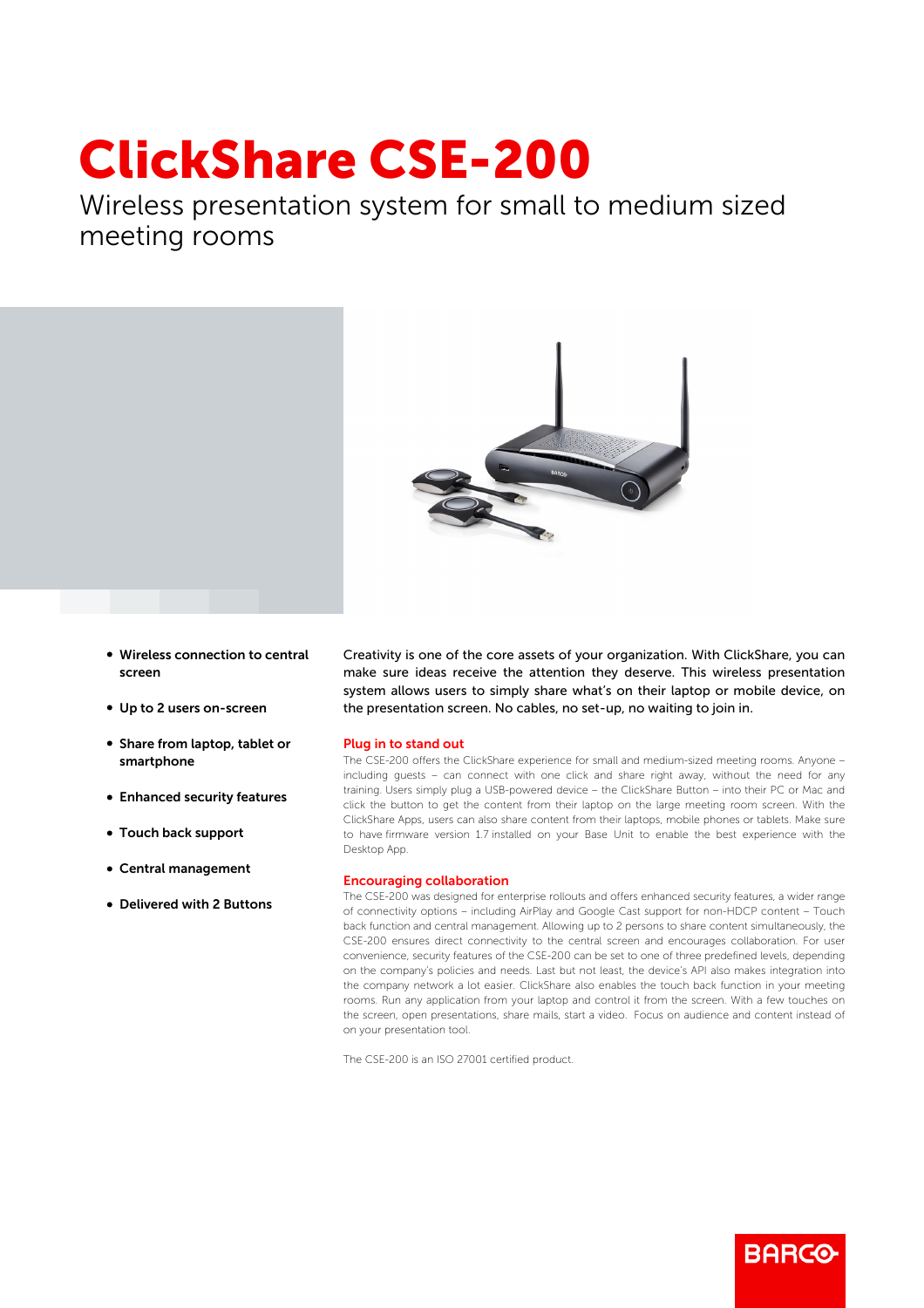## ClickShare CSE-200

Wireless presentation system for small to medium sized meeting rooms



- Wireless connection to central screen
- Up to 2 users on-screen
- Share from laptop, tablet or smartphone
- **Enhanced security features**
- Touch back support
- Central management
- Delivered with 2 Buttons

Creativity is one of the core assets of your organization. With ClickShare, you can make sure ideas receive the attention they deserve. This wireless presentation system allows users to simply share what's on their laptop or mobile device, on the presentation screen. No cables, no set-up, no waiting to join in.

## Plug in to stand out

The CSE-200 offers the ClickShare experience for small and medium-sized meeting rooms. Anyone – including guests – can connect with one click and share right away, without the need for any training. Users simply plug a USB-powered device – the ClickShare Button – into their PC or Mac and click the button to get the content from their laptop on the large meeting room screen. With the ClickShare Apps, users can also share content from their laptops, mobile phones or tablets. Make sure to have firmware version 1.7 installed on your Base Unit to enable the best experience with the Desktop App.

## Encouraging collaboration

The CSE-200 was designed for enterprise rollouts and offers enhanced security features, a wider range of connectivity options – including AirPlay and Google Cast support for non-HDCP content – Touch back function and central management. Allowing up to 2 persons to share content simultaneously, the CSE-200 ensures direct connectivity to the central screen and encourages collaboration. For user convenience, security features of the CSE-200 can be set to one of three predefined levels, depending on the company's policies and needs. Last but not least, the device's API also makes integration into the company network a lot easier. ClickShare also enables the touch back function in your meeting rooms. Run any application from your laptop and control it from the screen. With a few touches on the screen, open presentations, share mails, start a video. Focus on audience and content instead of on your presentation tool.

The CSE-200 is an ISO 27001 certified product.